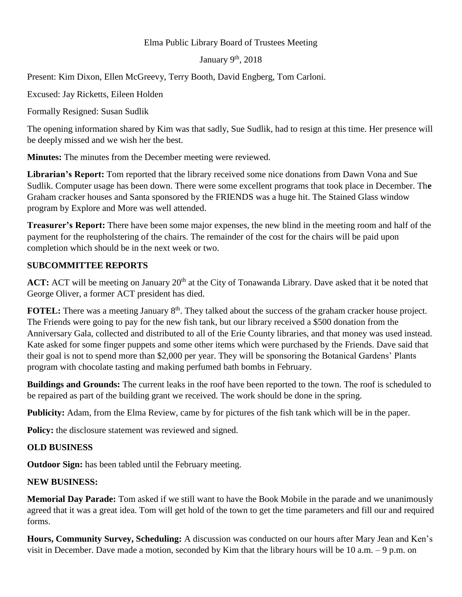## Elma Public Library Board of Trustees Meeting

#### January  $9<sup>th</sup>$ , 2018

Present: Kim Dixon, Ellen McGreevy, Terry Booth, David Engberg, Tom Carloni.

Excused: Jay Ricketts, Eileen Holden

Formally Resigned: Susan Sudlik

The opening information shared by Kim was that sadly, Sue Sudlik, had to resign at this time. Her presence will be deeply missed and we wish her the best.

**Minutes:** The minutes from the December meeting were reviewed.

**Librarian's Report:** Tom reported that the library received some nice donations from Dawn Vona and Sue Sudlik. Computer usage has been down. There were some excellent programs that took place in December. Th**e** Graham cracker houses and Santa sponsored by the FRIENDS was a huge hit. The Stained Glass window program by Explore and More was well attended.

**Treasurer's Report:** There have been some major expenses, the new blind in the meeting room and half of the payment for the reupholstering of the chairs. The remainder of the cost for the chairs will be paid upon completion which should be in the next week or two.

# **SUBCOMMITTEE REPORTS**

**ACT:** ACT will be meeting on January 20<sup>th</sup> at the City of Tonawanda Library. Dave asked that it be noted that George Oliver, a former ACT president has died.

**FOTEL:** There was a meeting January 8<sup>th</sup>. They talked about the success of the graham cracker house project. The Friends were going to pay for the new fish tank, but our library received a \$500 donation from the Anniversary Gala, collected and distributed to all of the Erie County libraries, and that money was used instead. Kate asked for some finger puppets and some other items which were purchased by the Friends. Dave said that their goal is not to spend more than \$2,000 per year. They will be sponsoring the Botanical Gardens' Plants program with chocolate tasting and making perfumed bath bombs in February.

**Buildings and Grounds:** The current leaks in the roof have been reported to the town. The roof is scheduled to be repaired as part of the building grant we received. The work should be done in the spring.

**Publicity:** Adam, from the Elma Review, came by for pictures of the fish tank which will be in the paper.

**Policy:** the disclosure statement was reviewed and signed.

## **OLD BUSINESS**

**Outdoor Sign:** has been tabled until the February meeting.

## **NEW BUSINESS:**

**Memorial Day Parade:** Tom asked if we still want to have the Book Mobile in the parade and we unanimously agreed that it was a great idea. Tom will get hold of the town to get the time parameters and fill our and required forms.

**Hours, Community Survey, Scheduling:** A discussion was conducted on our hours after Mary Jean and Ken's visit in December. Dave made a motion, seconded by Kim that the library hours will be 10 a.m. – 9 p.m. on